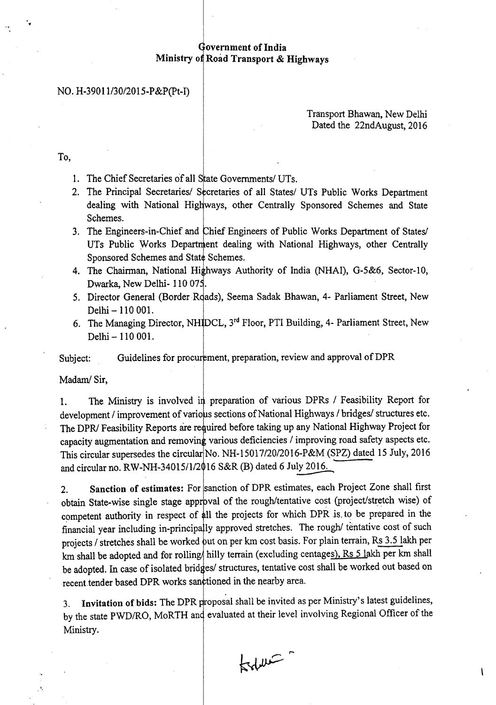## Government of India Ministry of Road Transport & Highways

### NO. H-39011l30/2015-P&P(pt-I)

### Transport Bhawan, New Delhi Dated the 22ndAugust, 2016

To,

..

1. The Chief Secretaries of all State Governments/ UTs.

2. The Principal Secretaries/ Secretaries of all States/ UTs Public Works Department dealing with National Highways, other Centrally Sponsored Schemes and State Schemes.

3. The Engineers-in-Chief and Chief Engineers of Public Works Department of States/ UTs Public Works Department dealing with National Highways, other Centrally Sponsored Schemes and State Schemes.

4. The Chairman, National Highways Authority of India (NHAI), G-5&6, Sector-10, Dwarka, New Delhi- 110 075.

5. Director General (Border Roads), Seema Sadak Bhawan, 4- Parliament Street, New Delhi - 110 001.

6. The Managing Director, NH DCL, 3<sup>rd</sup> Floor, PTI Building, 4- Parliament Street, New Delhi - 110 001.

Subject: Guidelines for procurement, preparation, review and approval of DPR

Madam/ Sir,

1. The Ministry is involved in preparation of various DPRs / Feasibility Report for development / improvement of various sections of National Highways / bridges/ structures etc. The *DPR*/ Feasibility Reports are required before taking up any National Highway Project for capacity augmentation and removing various deficiencies / improving road safety aspects etc. This circular supersedes the circular No. NH-15017/20/2016-P&M (SPZ) dated 15 July, 2016 and circular no. RW-NH-34015/1/2016 S&R (B) dated 6 July 2016.

2. Sanction of estimates: For sanction of DPR estimates, each Project Zone shall first obtain State-wise single stage approval of the rough/tentative cost (project/stretch wise) of competent authority in respect of all the projects for which DPR is to be prepared in the financial year including in-principally approved stretches. The rough/ tentative cost of such projects / stretches shall be worked but on per km cost basis. For plain terrain, Rs 3.5 lakh per km shall be adopted and for rolling hilly terrain (excluding centages), Rs 5 lakh per km shall be adopted. In case of isolated bridges/ structures, tentative cost shall be worked out based on recent tender based DPR works sanctioned in the nearby area.

3. Invitation of bids: The DPR proposal shall be invited as per Ministry's latest guidelines, by the state PWD/RO, MoRTH and evaluated at their level involving Regional Officer of the Ministry.

total

 $\overline{1}$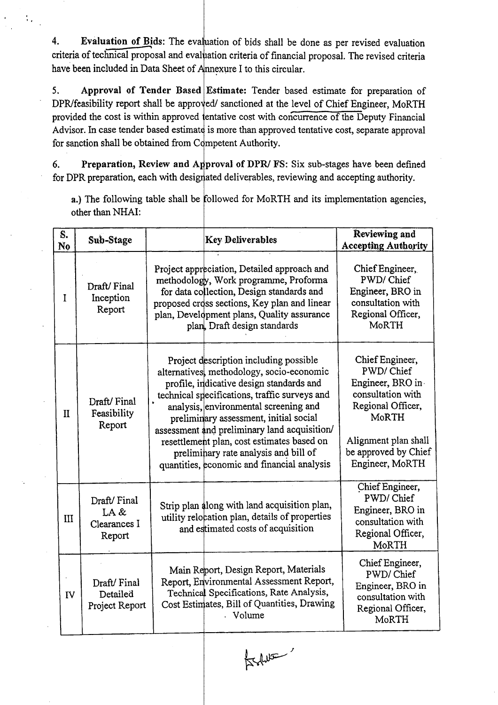4. Evaluation of Bids: The evaluation of bids shall be done as per revised evaluation criteria of technical proposal and evaluation criteria of financial proposal. The revised criteria have been included in Data Sheet of *A*nnexure I to this circular.

, .

5. Approval of Tender Based Estimate: Tender based estimate for preparation of DPR/feasibility report shall be approved/ sanctioned at the level of Chief Engineer, MoRTH provided the cost is within approved entative cost with concurrence of the Deputy Financial Advisor. In case tender based estimate is more than approved tentative cost, separate approval for sanction shall be obtained from Competent Authority.

6. Preparation, Review and Approval of DPR/FS: Six sub-stages have been defined for DPR preparation, each with designated deliverables, reviewing and accepting authority.

a.) The following table shall be followed for MoRTH and its implementation agencies, other than NHAI:

| S.<br>N <sub>o</sub> | Sub-Stage                                     | <b>Key Deliverables</b>                                                                                                                                                                                                                                                                                                                                                                                                                                   | Reviewing and<br><b>Accepting Authority</b>                                                                                                                            |
|----------------------|-----------------------------------------------|-----------------------------------------------------------------------------------------------------------------------------------------------------------------------------------------------------------------------------------------------------------------------------------------------------------------------------------------------------------------------------------------------------------------------------------------------------------|------------------------------------------------------------------------------------------------------------------------------------------------------------------------|
| I                    | Draft/Final<br>Inception<br>Report            | Project appreciation, Detailed approach and<br>methodology, Work programme, Proforma<br>for data collection, Design standards and<br>proposed cross sections, Key plan and linear<br>plan, Development plans, Quality assurance<br>plan, Draft design standards                                                                                                                                                                                           | Chief Engineer,<br>PWD/Chief<br>Engineer, BRO in<br>consultation with<br>Regional Officer,<br>MoRTH                                                                    |
| $\mathbf{I}$         | Draft/Final<br>Feasibility<br>Report          | Project description including possible<br>alternatives, methodology, socio-economic<br>profile, indicative design standards and<br>technical specifications, traffic surveys and<br>analysis, environmental screening and<br>preliminary assessment, initial social<br>assessment and preliminary land acquisition/<br>resettlement plan, cost estimates based on<br>preliminary rate analysis and bill of<br>quantities, economic and financial analysis | Chief Engineer,<br>PWD/Chief<br>Engineer, BRO in<br>consultation with<br>Regional Officer,<br>MoRTH<br>Alignment plan shall<br>be approved by Chief<br>Engineer, MoRTH |
| III                  | Draft/Final<br>LA &<br>Clearances I<br>Report | Strip plan along with land acquisition plan,<br>utility relocation plan, details of properties<br>and estimated costs of acquisition                                                                                                                                                                                                                                                                                                                      | Chief Engineer,<br>PWD/Chief<br>Engineer, BRO in<br>consultation with<br>Regional Officer,<br>MoRTH                                                                    |
| <b>IV</b>            | Draft/Final<br>Detailed<br>Project Report     | Main Report, Design Report, Materials<br>Report, Environmental Assessment Report,<br>Technical Specifications, Rate Analysis,<br>Cost Estimates, Bill of Quantities, Drawing<br>. Volume                                                                                                                                                                                                                                                                  | Chief Engineer,<br>PWD/Chief<br>Engineer, BRO in<br>consultation with<br>Regional Officer,<br>MoRTH                                                                    |

 $\frac{1}{2}$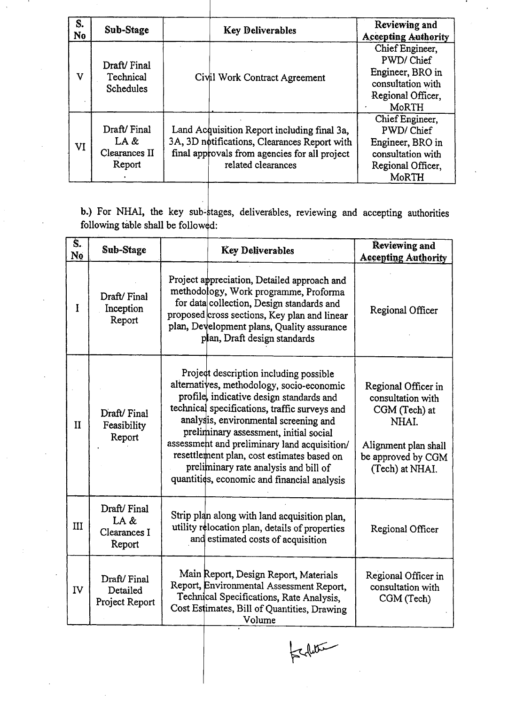| S.<br>No. | Sub-Stage                                        | <b>Key Deliverables</b>                                                                                                                                            | Reviewing and<br><b>Accepting Authority</b>                                                                |
|-----------|--------------------------------------------------|--------------------------------------------------------------------------------------------------------------------------------------------------------------------|------------------------------------------------------------------------------------------------------------|
| v         | Draft/Final<br>Technical<br>Schedules            | Civil Work Contract Agreement                                                                                                                                      | Chief Engineer,<br>PWD/Chief<br>Engineer, BRO in<br>consultation with<br>Regional Officer,<br><b>MoRTH</b> |
| VI        | Draft/Final<br>LA $&$<br>Clearances II<br>Report | Land Acquisition Report including final 3a,<br>3A, 3D notifications, Clearances Report with<br>final approvals from agencies for all project<br>related clearances | Chief Engineer,<br>PWD/Chief<br>Engineer, BRO in<br>consultation with<br>Regional Officer,<br><b>MoRTH</b> |

b.) For NHAI, the key sub-stages, deliverables, reviewing and accepting authorities following table shall be followed:

| Ś.<br>N <sub>0</sub> | Sub-Stage                                     | <b>Key Deliverables</b>                                                                                                                                                                                                                                                                                                                                                                                                                                   | Reviewing and<br><b>Accepting Authority</b>                                                                                         |
|----------------------|-----------------------------------------------|-----------------------------------------------------------------------------------------------------------------------------------------------------------------------------------------------------------------------------------------------------------------------------------------------------------------------------------------------------------------------------------------------------------------------------------------------------------|-------------------------------------------------------------------------------------------------------------------------------------|
| I                    | Draft/Final<br>Inception<br>Report            | Project appreciation, Detailed approach and<br>methodology, Work programme, Proforma<br>for data collection, Design standards and<br>proposed cross sections, Key plan and linear<br>plan, Development plans, Quality assurance<br>plan, Draft design standards                                                                                                                                                                                           | Regional Officer                                                                                                                    |
| $\mathbf{I}$         | Draft/Final<br>Feasibility<br>Report          | Project description including possible<br>alternatives, methodology, socio-economic<br>profile, indicative design standards and<br>technical specifications, traffic surveys and<br>analysis, environmental screening and<br>preliminary assessment, initial social<br>assessment and preliminary land acquisition/<br>resettlement plan, cost estimates based on<br>preliminary rate analysis and bill of<br>quantities, economic and financial analysis | Regional Officer in<br>consultation with<br>CGM (Tech) at<br>NHAI.<br>Alignment plan shall<br>be approved by CGM<br>(Tech) at NHAI. |
| III                  | Draft/Final<br>LA &<br>Clearances I<br>Report | Strip plan along with land acquisition plan,<br>utility relocation plan, details of properties<br>and estimated costs of acquisition                                                                                                                                                                                                                                                                                                                      | Regional Officer                                                                                                                    |
| IV                   | Draft/Final<br>Detailed<br>Project Report     | Main Report, Design Report, Materials<br>Report, Environmental Assessment Report,<br>Technical Specifications, Rate Analysis,<br>Cost Estimates, Bill of Quantities, Drawing<br>Volume                                                                                                                                                                                                                                                                    | Regional Officer in<br>consultation with<br>CGM (Tech)                                                                              |

 $|z|$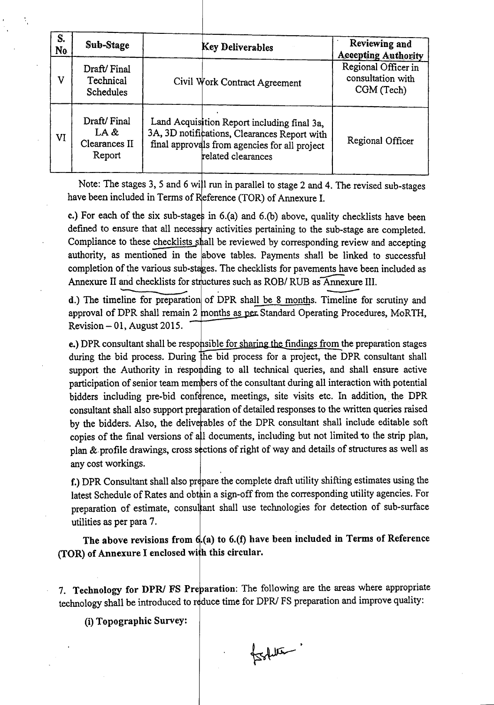| S.<br>N <sub>0</sub> | Sub-Stage                                      | <b>Key Deliverables</b>                                                                                                                                            | Reviewing and<br><b>Accepting Authority</b>            |
|----------------------|------------------------------------------------|--------------------------------------------------------------------------------------------------------------------------------------------------------------------|--------------------------------------------------------|
| v                    | Draft/Final<br>Technical<br><b>Schedules</b>   | Civil Work Contract Agreement                                                                                                                                      | Regional Officer in<br>consultation with<br>CGM (Tech) |
| VI                   | Draft/Final<br>LA &<br>Clearances II<br>Report | Land Acquisition Report including final 3a,<br>3A, 3D notifications, Clearances Report with<br>final approvals from agencies for all project<br>related clearances | Regional Officer                                       |

Note: The stages 3, 5 and 6 will run in parallel to stage 2 and 4. The revised sub-stages have been included in Terms of Reference (TOR) of Annexure 1.

c.) For each of the six sub-stages in 6.(a) and 6.(b) above, quality checklists have been defined to ensure that all necessary activities pertaining to the sub-stage are completed. Compliance to these checklists shall be reviewed by corresponding review and accepting authority, as mentioned in the above tables. Payments shall be linked to successful completion of the various sub-stages. The checklists for pavements have been included as Annexure II and checklists for structures such as completion of the various sub-stages. The checklists for pavements have been included as Annexure II and checklists for structures such as ROB/ RUB as Annexure III. f the various sub-<br>and checklists for<br>line for preparation<br>DPR shall remain

d.) The timeline for preparation of DPR shall be 8 months. Timeline Annexure<br>imeline f for scrutiny and approval of DPR shall remain 2 months as per Standard Operating Procedures, MoRTH,  $Revision - 01$ , August 2015.

e.) DPR consultant shall be responsible for sharing the findings from the preparation stages during the bid process. During the bid process for a project, the DPR consultant shall support the Authority in responding to all technical queries, and shall ensure active participation of senior team members of the consultant during all interaction with potential bidders including pre-bid conference, meetings, site visits etc. In addition, the DPR consultant shall also support preparation of detailed responses to the written queries raised by the bidders. Also, the deliverables of the DPR consultant shall include editable soft copies of the final versions of all documents, including but not limited to the strip plan, plan & profile drawings, cross sections of right of way and details of structures as well as any cost workings.

f.) DPR Consultant shall also prepare the complete draft utility shifting estimates using the latest Schedule of Rates and obtain a sign-off from the corresponding utility agencies. For preparation of estimate, consultant shall use technologies for detection of sub-surface utilities as per para 7.

The above revisions from  $6(a)$  to  $6.(f)$  have been included in Terms of Reference (TOR) of Annexure I enclosed with this circular.

7. Technology for DPR/ FS Preparation: The following are the areas where appropriate technology shall be introduced to reduce time for DPR/ FS preparation and improve quality:

(i) Topographic Survey:

fortiller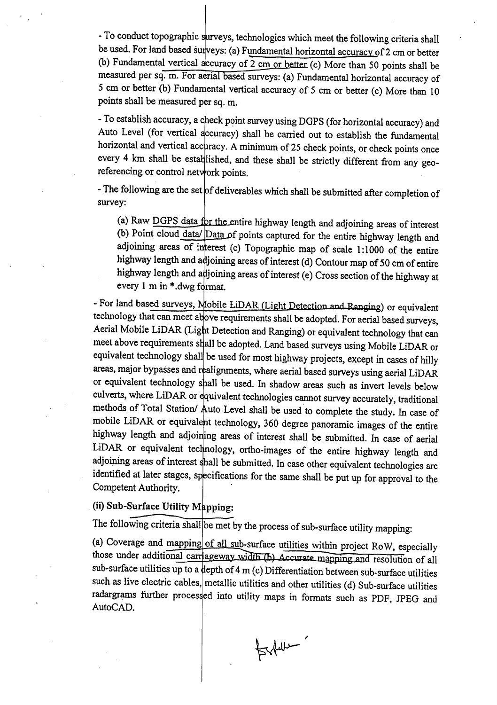- To conduct topographic surveys, technologies which meet the following criteria shall be used. For land based surveys: (a) Fundamental horizontal accuracy of 2 cm or better (b) Fundamental vertical accuracy of  $2 \text{ cm or better (c)}$  More than 50 points shall be measured per sq. m. For a rial based surveys: (a) Fundamental horizontal accuracy of 5 cm or better (b) Fundamental vertical accuracy of 5 cm or better (c) More than 10 points shall be measured per sq. m.

- To establish accuracy, a check point survey using DGPS (for horizontal accuracy) and Auto Level (for vertical accuracy) shall be carried out to establish the fundamental horizontal and vertical accuracy. A minimum of 25 check points, or check points once every 4 km shall be established, and these shall be strictly different from any georeferencing or control network points.

- The following are the set of deliverables which shall be submitted after completion of survey:

(a) Raw DGPS data for the entire highway length and adjoining areas of interest (b) Point cloud data/ Data of points captured for the entire highway length and adjoining areas of interest (c) Topographic map of scale 1:1000 of the entire highway length and adjoining areas of interest (d) Contour map of 50 cm of entire highway length and adjoining areas of interest (e) Cross section of the highway at every  $1 \text{ m in } *$ .dwg format.

- For land based surveys, Mobile LiDAR (Light Detection and Ranging) or equivalent technology that can meet above requirements shall be adopted. For aerial based surveys, Aerial Mobile LiDAR (Light Detection and Ranging) or equivalent technology that can meet above requirements shall be adopted. Land based surveys using Mobile LiDAR or equivalent technology shall be used for most highway projects, except in cases of hilly areas, major bypasses and realignments, where aerial based surveys using aerial LiDAR or equivalent technology shall be used. In shadow areas such as invert levels below culverts, where LiDAR or equivalent technologies cannot survey accurately, traditional methods of Total Station/ Auto Level shall be used to complete the study. In case of mobile LiDAR or equivalent technology, 360 degree panoramic images of the entire highway length and adjoining areas of interest shall be submitted. In case of aerial LiDAR or equivalent technology, ortho-images of the entire highway length and adjoining areas of interest shall be submitted. In case other equivalent technologies are identified at later stages, specifications for the same shall be put up for approval to the Competent Authority.

# (ii) Sub-Surface Utility Mapping:

The following criteria shall be met by the process of sub-surface utility mapping:

(a) Coverage and mapping of all sub-surface utilities within project RoW, especially those under additional carriageway width (b) Accurate mapping and resolution of all sub-surface utilities up to a depth of 4 m (c) Differentiation between sub-surface utilities such as live electric cables, metallic utilities and other utilities (d) Sub-surface utilities radargrams further processed into utility maps in formats such as PDF, JPEG and AutoCAD.

 $Brdust$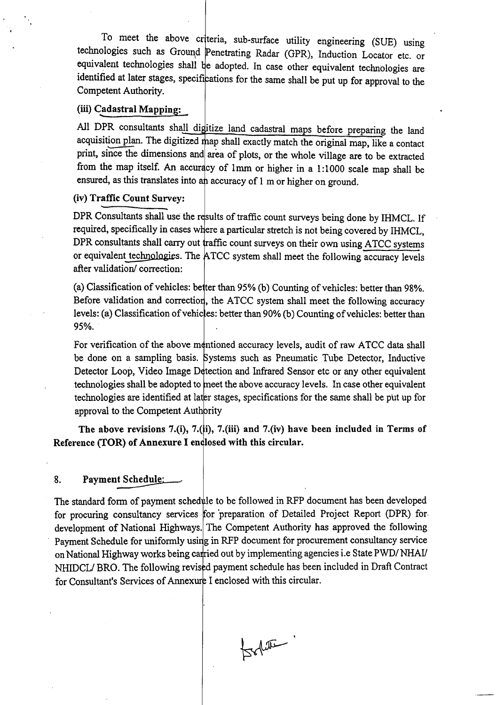To meet the above criteria, sub-surface utility engineering (SUE) using technologies such as Ground Penetrating Radar (GPR), Induction Locator etc. or equivalent technologies shall be adopted. In case other equivalent technologies are identified at later stages, specifications for the same shall be put up for approval to the Competent Authority.

# (iii) Cadastral Mapping:

All DPR consultants shall digitize land cadastral maps before preparing the land acquisition plan. The digitized map shall exactly match the original map, like a contact print, since the dimensions and area of plots, or the whole village are to be extracted from the map itself. An accuracy of 1mm or higher in a 1:1000 scale map shall be ensured, as this translates into an accuracy of 1 m or higher on ground.

### (iv) Traffic Count Survey:

DPR Consultants shall use the results of traffic count surveys being done by IHMCL. If required, specifically in cases where a particular stretch is not being covered by IHMCL, DPR consultants shall carry out traffic count surveys on their own using ATCC systems or equivalent technologies. The ATCC system shall meet the following accuracy levels after validation/ correction:

(a) Classification of vehicles: be ter than 95% (b) Counting of vehicles: better than 98%. Before validation and correction, the ATCC system shall meet the following accuracy levels: (a) Classification of vehicles: better than 90% (b) Counting of vehicles: better than 95%.

For verification of the above mentioned accuracy levels, audit of raw ATCC data shall be done on a sampling basis. Systems such as Pneumatic Tube Detector, Inductive Detector Loop, Video Image Detection and Infrared Sensor etc or any other equivalent technologies shall be adopted to meet the above accuracy levels. In case other equivalent technologies are identified at later stages, specifications for the same shall be put up for approval to the Competent Authority

The above revisions 7.(i), 7.(ii), 7.(iii) and 7.(iv) have been included in Terms of Reference (TOR) of Annexure I endlosed with this circular.

#### 8. Payment Schedule:

The standard form of payment schedule to be followed in RFP document has been developed for procuring consultancy services for preparation of Detailed Project Report (DPR) for development of National Highways. The Competent Authority has approved the following Payment Schedule for uniformly using in RFP document for procurement consultancy service on National Highway works being carried out by implementing agencies i.e State PWD/*NHAI*/ NHIDCL/ BRO. The following revised payment schedule has been included in Draft Contract for Consultant's Services of Annexure I enclosed with this circular.

tookhou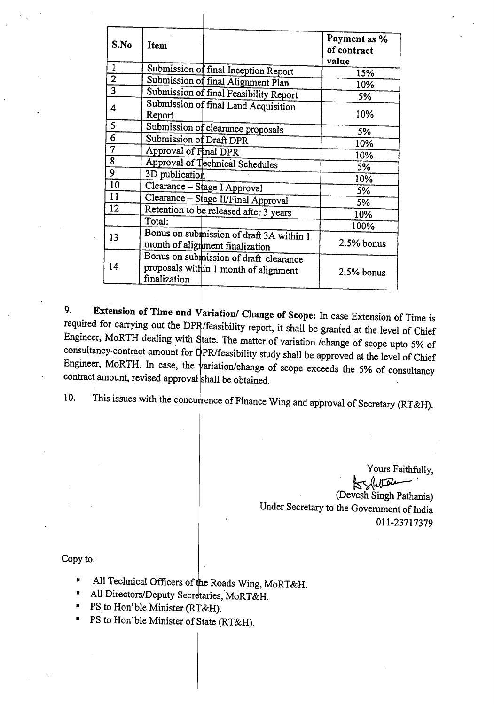| S.No           | Item                                                                                            | Payment as %<br>of contract<br>value |
|----------------|-------------------------------------------------------------------------------------------------|--------------------------------------|
| $\mathbf{1}$   | Submission of final Inception Report                                                            | 15%                                  |
| $\overline{2}$ | Submission of final Alignment Plan                                                              | 10%                                  |
| $\overline{3}$ | Submission of final Feasibility Report                                                          | 5%                                   |
| 4              | Submission of final Land Acquisition<br>Report                                                  | 10%                                  |
| 5              | Submission of clearance proposals                                                               | 5%                                   |
| 6              | Submission of Draft DPR                                                                         | 10%                                  |
| 7              | Approval of Final DPR                                                                           | 10%                                  |
| $\overline{8}$ | Approval of Technical Schedules                                                                 | 5%                                   |
| 9              | 3D publication                                                                                  | 10%                                  |
| 10             | Clearance - Stage I Approval                                                                    | 5%                                   |
| 11             | Clearance - Stage II/Final Approval                                                             | 5%                                   |
| 12             | Retention to be released after 3 years                                                          | 10%                                  |
|                | Total:                                                                                          | 100%                                 |
| 13             | Bonus on submission of draft 3A within 1<br>month of alignment finalization                     | 2.5% bonus                           |
| 14             | Bonus on submission of draft clearance<br>proposals within 1 month of alignment<br>finalization | 2.5% bonus                           |

9. Extension of Time and  $\sqrt{\text{ariation}}$  Change of Scope: In case Extension of Time is required for carrying out the DPR/feasibility report, it shall be granted at the level of Chief Engineer, MoRTH dealing with State. The matter of variation /change of scope upto 5% of consultancy contract amount for  $D$ PR/feasibility study shall be approved at the level of Chief Engineer, MoRTH. In case, the  $\frac{1}{2}$  variation/change of scope exceeds the 5% of consultancy contract amount, revised approval shall be obtained.

10. This issues with the concurrence of Finance Wing and approval of Secretary (RT&H).

Yours Faithfully, \* solution (Devesh Singh Pathania) Under Secretary to the Government of India 011-23717379

Copy to

- **•** All Technical Officers of the Roads Wing, MoRT&H.
- All Directors/Deputy Secretaries, MoRT&H.
- PS to Hon'ble Minister (R $\uparrow$ &H).
- PS to Hon'ble Minister of \$tate (RT&H).